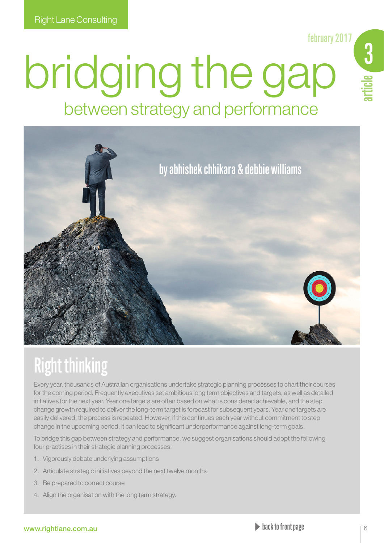february 2017

# bridging the gap between strategy and performance



## Right thinking

Every year, thousands of Australian organisations undertake strategic planning processes to chart their courses for the coming period. Frequently executives set ambitious long term objectives and targets, as well as detailed initiatives for the next year. Year one targets are often based on what is considered achievable, and the step change growth required to deliver the long-term target is forecast for subsequent years. Year one targets are easily delivered; the process is repeated. However, if this continues each year without commitment to step change in the upcoming period, it can lead to significant underperformance against long-term goals.

To bridge this gap between strategy and performance, we suggest organisations should adopt the following four practises in their strategic planning processes:

- 1. Vigorously debate underlying assumptions
- 2. Articulate strategic initiatives beyond the next twelve months
- 3. Be prepared to correct course
- 4. Align the organisation with the long term strategy.

### www.rightlane.com.au back to front page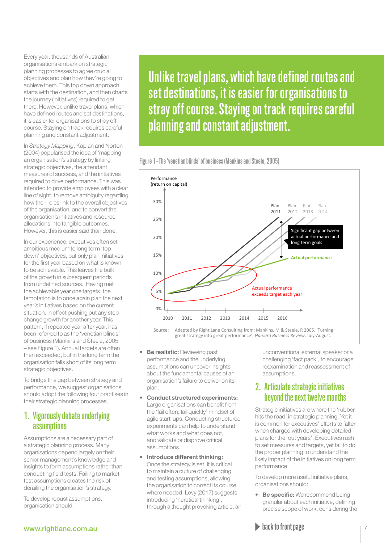Every year, thousands of Australian organisations embark on strategic planning processes to agree crucial objectives and plan how they're going to achieve them. This top down approach starts with the destination, and then charts the journey (initiatives) required to get there. However, unlike travel plans, which have defined routes and set destinations, it is easier for organisations to stray off course. Staying on track requires careful planning and constant adjustment.

In *Strategy Mapping*, Kaplan and Norton (2004) popularised the idea of 'mapping' an organisation's strategy by linking strategic objectives, the attendant measures of success, and the initiatives required to drive performance. This was intended to provide employees with a clear line of sight, to remove ambiguity regarding how their roles link to the overall objectives of the organisation, and to convert the organisation's initiatives and resource allocations into tangible outcomes. However, this is easier said than done.

In our experience, executives often set ambitious medium to long term 'top down' objectives, but only plan initiatives for the first year based on what is known to be achievable. This leaves the bulk of the growth in subsequent periods from undefined sources. Having met the achievable year one targets, the temptation is to once again plan the next year's initiatives based on the current situation, in effect pushing out any step change growth for another year. This pattern, if repeated year after year, has been referred to as the 'venetian blinds' of business (Mankins and Steele, 2005 – see Figure 1). Annual targets are often then exceeded, but in the long term the organisation falls short of its long term strategic objectives.

To bridge this gap between strategy and performance, we suggest organisations should adopt the following four practises in their strategic planning processes.

## 1. Vigorously debate underlying assumptions

Assumptions are a necessary part of a strategic planning process. Many organisations depend largely on their senior management's knowledge and insights to form assumptions rather than conducting field tests. Failing to markettest assumptions creates the risk of derailing the organisation's strategy.

To develop robust assumptions, organisation should:

Unlike travel plans, which have defined routes and set destinations, it is easier for organisations to stray off course. Staying on track requires careful planning and constant adjustment.

Figure 1 - The 'venetian blinds' of business (Mankins and Steele, 2005)



Source: Adapted by Right Lane Consulting from: Mankins, M & Steele, R 2005, 'Turning great strategy into great performance', *Harvard Business Review*, July-August.

- **Be realistic:** Reviewing past performance and the underlying assumptions can uncover insights about the fundamental causes of an organisation's failure to deliver on its plan.
- Conduct structured experiments: Large organisations can benefit from the 'fail often, fail quickly' mindset of agile start-ups. Conducting structured experiments can help to understand what works and what does not. and validate or disprove critical assumptions.
- Introduce different thinking: Once the strategy is set, it is critical to maintain a culture of challenging and testing assumptions, allowing the organisation to correct its course where needed. Levy (2017) suggests introducing 'heretical thinking', through a thought provoking article, an

unconventional external speaker or a challenging 'fact pack', to encourage reexamination and reassessment of assumptions.

## 2. Articulate strategic initiatives beyond the next twelve months

Strategic initiatives are where the 'rubber hits the road' in strategic planning. Yet it is common for executives' efforts to falter when charged with developing detailed plans for the 'out years'. Executives rush to set measures and targets, yet fail to do the proper planning to understand the likely impact of the initiatives on long term performance.

To develop more useful initiative plans, organisations should:

• Be specific: We recommend being granular about each initiative, defining precise scope of work, considering the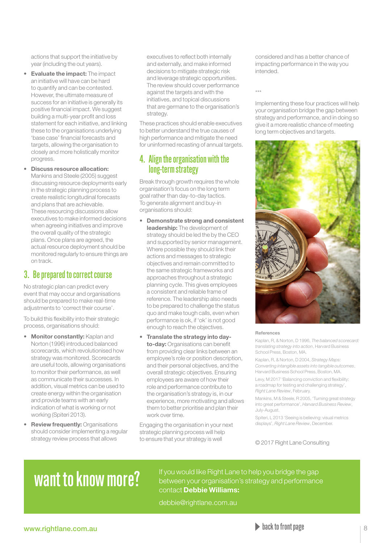actions that support the initiative by year (including the out years).

- Evaluate the impact: The impact an initiative will have can be hard to quantify and can be contested. However, the ultimate measure of success for an initiative is generally its positive financial impact. We suggest building a multi-year profit and loss statement for each initiative, and linking these to the organisations underlying 'base case' financial forecasts and targets, allowing the organisation to closely and more holistically monitor progress.
- Discuss resource allocation: Mankins and Steele (2005) suggest discussing resource deployments early in the strategic planning process to create realistic longitudinal forecasts and plans that are achievable. These resourcing discussions allow executives to make informed decisions when agreeing initiatives and improve the overall quality of the strategic plans. Once plans are agreed, the actual resource deployment should be monitored regularly to ensure things are on track.

## 3. Be prepared to correct course

No strategic plan can predict every event that may occur and organisations should be prepared to make real-time adjustments to 'correct their course'.

To build this flexibility into their strategic process, organisations should:

- Monitor constantly: Kaplan and Norton (1996) introduced balanced scorecards, which revolutionised how strategy was monitored. Scorecards are useful tools, allowing organisations to monitor their performance, as well as communicate their successes. In addition, visual metrics can be used to create energy within the organisation and provide teams with an early indication of what is working or not working (Spiteri 2013).
- Review frequently: Organisations should consider implementing a regular strategy review process that allows

executives to reflect both internally and externally, and make informed decisions to mitigate strategic risk and leverage strategic opportunities. The review should cover performance against the targets and with the initiatives, and topical discussions that are germane to the organisation's strategy.

These practices should enable executives to better understand the true causes of high performance and mitigate the need for uninformed recasting of annual targets.

## 4. Align the organisation with the long-term strategy

Break through growth requires the whole organisation's focus on the long term goal rather than day-to-day tactics. To generate alignment and buy-in organisations should:

- Demonstrate strong and consistent leadership: The development of strategy should be led the by the CEO and supported by senior management. Where possible they should link their actions and messages to strategic objectives and remain committed to the same strategic frameworks and approaches throughout a strategic planning cycle. This gives employees a consistent and reliable frame of reference. The leadership also needs to be prepared to challenge the status quo and make tough calls, even when performance is ok, if 'ok' is not good enough to reach the objectives.
- Translate the strategy into dayto-day: Organisations can benefit from providing clear links between an employee's role or position description, and their personal objectives, and the overall strategic objectives. Ensuring employees are aware of how their role and performance contribute to the organisation's strategy is, in our experience, more motivating and allows them to better prioritise and plan their work over time.

Engaging the organisation in your next strategic planning process will help to ensure that your strategy is well

considered and has a better chance of impacting performance in the way you intended.

 $^{+4}$ 

Implementing these four practices will help your organisation bridge the gap between strategy and performance, and in doing so give it a more realistic chance of meeting long term objectives and targets.



#### References

Kaplan, R, & Norton, D 1996, *The balanced scorecard: translating strategy into action*, Harvard Business School Press, Boston, MA.

Kaplan, R, & Norton, D 2004, *Strategy Maps: Converting intangible assets into tangible outcomes*, Harvard Business School Press, Boston, MA.

Levy, M 2017 'Balancing conviction and flexibility: a roadmap for testing and challenging strategy', *Right Lane Review*, February.

Mankins, M & Steele, R 2005, 'Turning great strategy into great performance', *Harvard Business Review*, July-August.

Spiteri, L 2013 'Seeing is believing: visual metrics displays', *Right Lane Review*, December.

© 2017 Right Lane Consulting

Want to know more? If you would like Right Lane to help you bridge the gap between your organisation's strategy and performance contact Debbie Williams:

debbie@rightlane.com.au